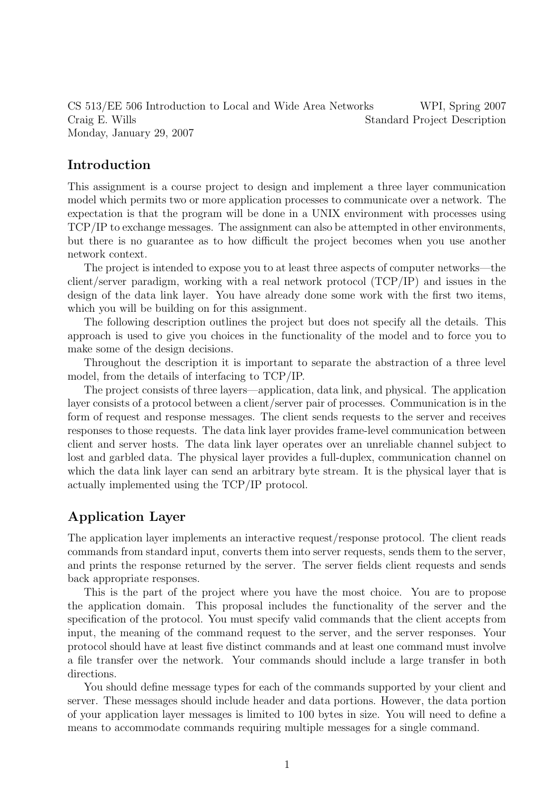CS 513/EE 506 Introduction to Local and Wide Area Networks WPI, Spring 2007 Craig E. Wills Standard Project Description Monday, January 29, 2007

### Introduction

This assignment is a course project to design and implement a three layer communication model which permits two or more application processes to communicate over a network. The expectation is that the program will be done in a UNIX environment with processes using TCP/IP to exchange messages. The assignment can also be attempted in other environments, but there is no guarantee as to how difficult the project becomes when you use another network context.

The project is intended to expose you to at least three aspects of computer networks—the client/server paradigm, working with a real network protocol (TCP/IP) and issues in the design of the data link layer. You have already done some work with the first two items, which you will be building on for this assignment.

The following description outlines the project but does not specify all the details. This approach is used to give you choices in the functionality of the model and to force you to make some of the design decisions.

Throughout the description it is important to separate the abstraction of a three level model, from the details of interfacing to TCP/IP.

The project consists of three layers—application, data link, and physical. The application layer consists of a protocol between a client/server pair of processes. Communication is in the form of request and response messages. The client sends requests to the server and receives responses to those requests. The data link layer provides frame-level communication between client and server hosts. The data link layer operates over an unreliable channel subject to lost and garbled data. The physical layer provides a full-duplex, communication channel on which the data link layer can send an arbitrary byte stream. It is the physical layer that is actually implemented using the TCP/IP protocol.

### Application Layer

The application layer implements an interactive request/response protocol. The client reads commands from standard input, converts them into server requests, sends them to the server, and prints the response returned by the server. The server fields client requests and sends back appropriate responses.

This is the part of the project where you have the most choice. You are to propose the application domain. This proposal includes the functionality of the server and the specification of the protocol. You must specify valid commands that the client accepts from input, the meaning of the command request to the server, and the server responses. Your protocol should have at least five distinct commands and at least one command must involve a file transfer over the network. Your commands should include a large transfer in both directions.

You should define message types for each of the commands supported by your client and server. These messages should include header and data portions. However, the data portion of your application layer messages is limited to 100 bytes in size. You will need to define a means to accommodate commands requiring multiple messages for a single command.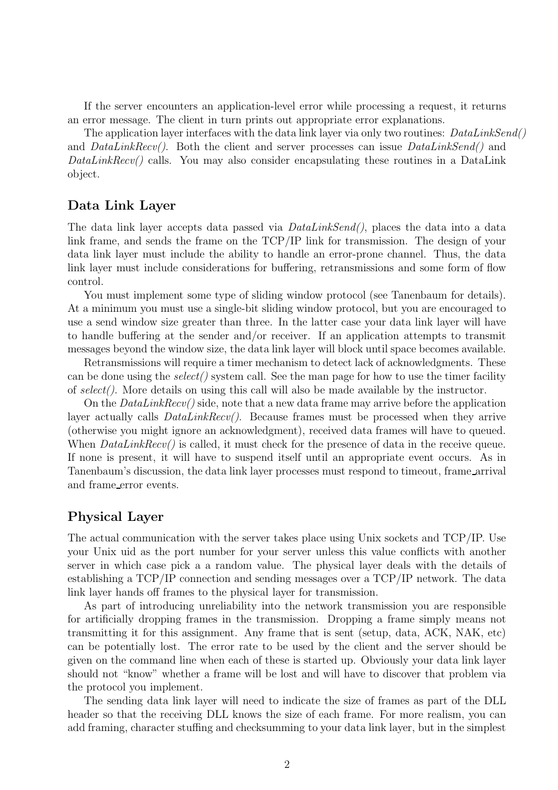If the server encounters an application-level error while processing a request, it returns an error message. The client in turn prints out appropriate error explanations.

The application layer interfaces with the data link layer via only two routines:  $DataLinkSend()$ and  $DataLinkRecv()$ . Both the client and server processes can issue  $DataLinkSend()$  and  $DataLinkRev()$  calls. You may also consider encapsulating these routines in a DataLink object.

#### Data Link Layer

The data link layer accepts data passed via  $DataLinkSend()$ , places the data into a data link frame, and sends the frame on the TCP/IP link for transmission. The design of your data link layer must include the ability to handle an error-prone channel. Thus, the data link layer must include considerations for buffering, retransmissions and some form of flow control.

You must implement some type of sliding window protocol (see Tanenbaum for details). At a minimum you must use a single-bit sliding window protocol, but you are encouraged to use a send window size greater than three. In the latter case your data link layer will have to handle buffering at the sender and/or receiver. If an application attempts to transmit messages beyond the window size, the data link layer will block until space becomes available.

Retransmissions will require a timer mechanism to detect lack of acknowledgments. These can be done using the  $select()$  system call. See the man page for how to use the timer facility of select(). More details on using this call will also be made available by the instructor.

On the  $DataLinkRecv()$  side, note that a new data frame may arrive before the application layer actually calls  $DataLinkRecv()$ . Because frames must be processed when they arrive (otherwise you might ignore an acknowledgment), received data frames will have to queued. When  $DataLinkRecv()$  is called, it must check for the presence of data in the receive queue. If none is present, it will have to suspend itself until an appropriate event occurs. As in Tanenbaum's discussion, the data link layer processes must respond to timeout, frame arrival and frame error events.

#### Physical Layer

The actual communication with the server takes place using Unix sockets and TCP/IP. Use your Unix uid as the port number for your server unless this value conflicts with another server in which case pick a a random value. The physical layer deals with the details of establishing a TCP/IP connection and sending messages over a TCP/IP network. The data link layer hands off frames to the physical layer for transmission.

As part of introducing unreliability into the network transmission you are responsible for artificially dropping frames in the transmission. Dropping a frame simply means not transmitting it for this assignment. Any frame that is sent (setup, data, ACK, NAK, etc) can be potentially lost. The error rate to be used by the client and the server should be given on the command line when each of these is started up. Obviously your data link layer should not "know" whether a frame will be lost and will have to discover that problem via the protocol you implement.

The sending data link layer will need to indicate the size of frames as part of the DLL header so that the receiving DLL knows the size of each frame. For more realism, you can add framing, character stuffing and checksumming to your data link layer, but in the simplest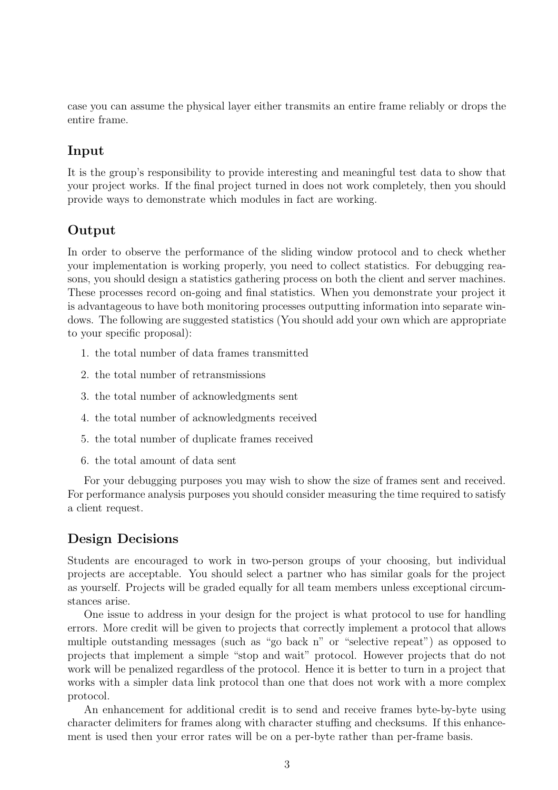case you can assume the physical layer either transmits an entire frame reliably or drops the entire frame.

## Input

It is the group's responsibility to provide interesting and meaningful test data to show that your project works. If the final project turned in does not work completely, then you should provide ways to demonstrate which modules in fact are working.

## Output

In order to observe the performance of the sliding window protocol and to check whether your implementation is working properly, you need to collect statistics. For debugging reasons, you should design a statistics gathering process on both the client and server machines. These processes record on-going and final statistics. When you demonstrate your project it is advantageous to have both monitoring processes outputting information into separate windows. The following are suggested statistics (You should add your own which are appropriate to your specific proposal):

- 1. the total number of data frames transmitted
- 2. the total number of retransmissions
- 3. the total number of acknowledgments sent
- 4. the total number of acknowledgments received
- 5. the total number of duplicate frames received
- 6. the total amount of data sent

For your debugging purposes you may wish to show the size of frames sent and received. For performance analysis purposes you should consider measuring the time required to satisfy a client request.

## Design Decisions

Students are encouraged to work in two-person groups of your choosing, but individual projects are acceptable. You should select a partner who has similar goals for the project as yourself. Projects will be graded equally for all team members unless exceptional circumstances arise.

One issue to address in your design for the project is what protocol to use for handling errors. More credit will be given to projects that correctly implement a protocol that allows multiple outstanding messages (such as "go back n" or "selective repeat") as opposed to projects that implement a simple "stop and wait" protocol. However projects that do not work will be penalized regardless of the protocol. Hence it is better to turn in a project that works with a simpler data link protocol than one that does not work with a more complex protocol.

An enhancement for additional credit is to send and receive frames byte-by-byte using character delimiters for frames along with character stuffing and checksums. If this enhancement is used then your error rates will be on a per-byte rather than per-frame basis.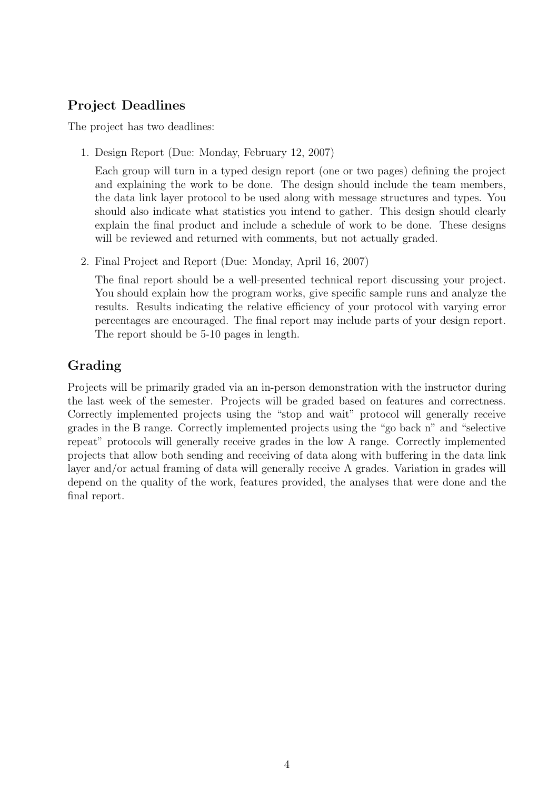# Project Deadlines

The project has two deadlines:

1. Design Report (Due: Monday, February 12, 2007)

Each group will turn in a typed design report (one or two pages) defining the project and explaining the work to be done. The design should include the team members, the data link layer protocol to be used along with message structures and types. You should also indicate what statistics you intend to gather. This design should clearly explain the final product and include a schedule of work to be done. These designs will be reviewed and returned with comments, but not actually graded.

2. Final Project and Report (Due: Monday, April 16, 2007)

The final report should be a well-presented technical report discussing your project. You should explain how the program works, give specific sample runs and analyze the results. Results indicating the relative efficiency of your protocol with varying error percentages are encouraged. The final report may include parts of your design report. The report should be 5-10 pages in length.

# Grading

Projects will be primarily graded via an in-person demonstration with the instructor during the last week of the semester. Projects will be graded based on features and correctness. Correctly implemented projects using the "stop and wait" protocol will generally receive grades in the B range. Correctly implemented projects using the "go back n" and "selective repeat" protocols will generally receive grades in the low A range. Correctly implemented projects that allow both sending and receiving of data along with buffering in the data link layer and/or actual framing of data will generally receive A grades. Variation in grades will depend on the quality of the work, features provided, the analyses that were done and the final report.